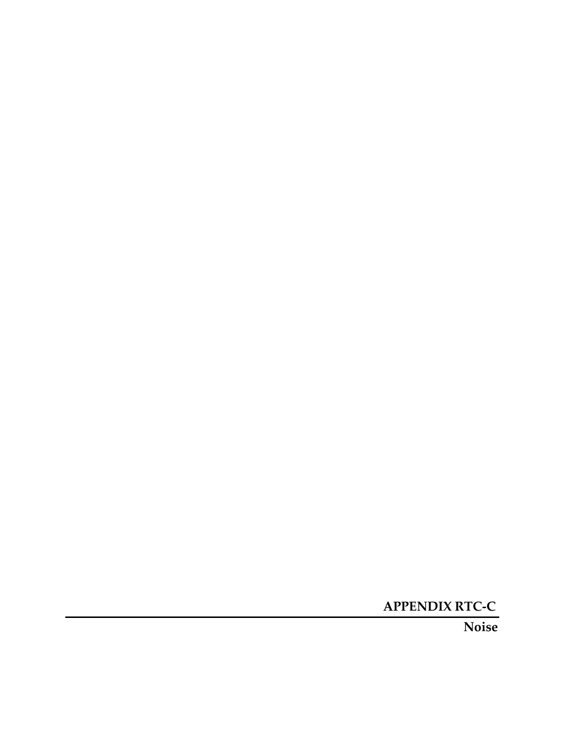**APPENDIX RTC-C**

**Noise**